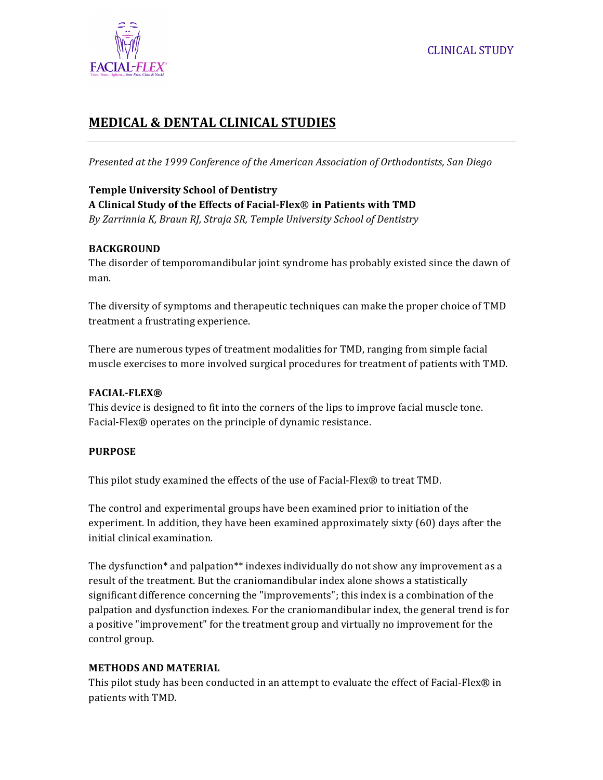

# **MEDICAL & DENTAL CLINICAL STUDIES**

Presented at the 1999 Conference of the American Association of Orthodontists, San Diego

## **Temple University School of Dentistry A Clinical Study of the Effects of Facial-Flex**® **in Patients with TMD** *By Zarrinnia K, Braun RJ, Straja SR, Temple University School of Dentistry*

#### **BACKGROUND**

The disorder of temporomandibular joint syndrome has probably existed since the dawn of man.

The diversity of symptoms and therapeutic techniques can make the proper choice of TMD treatment a frustrating experience.

There are numerous types of treatment modalities for TMD, ranging from simple facial muscle exercises to more involved surgical procedures for treatment of patients with TMD.

#### **FACIAL-FLEX®**

This device is designed to fit into the corners of the lips to improve facial muscle tone. Facial-Flex® operates on the principle of dynamic resistance.

#### **PURPOSE**

This pilot study examined the effects of the use of Facial-Flex® to treat TMD.

The control and experimental groups have been examined prior to initiation of the experiment. In addition, they have been examined approximately sixty  $(60)$  days after the initial clinical examination.

The dysfunction\* and palpation\*\* indexes individually do not show any improvement as a result of the treatment. But the craniomandibular index alone shows a statistically significant difference concerning the "improvements"; this index is a combination of the palpation and dysfunction indexes. For the craniomandibular index, the general trend is for a positive "improvement" for the treatment group and virtually no improvement for the control group.

#### **METHODS AND MATERIAL**

This pilot study has been conducted in an attempt to evaluate the effect of Facial-Flex® in patients with TMD.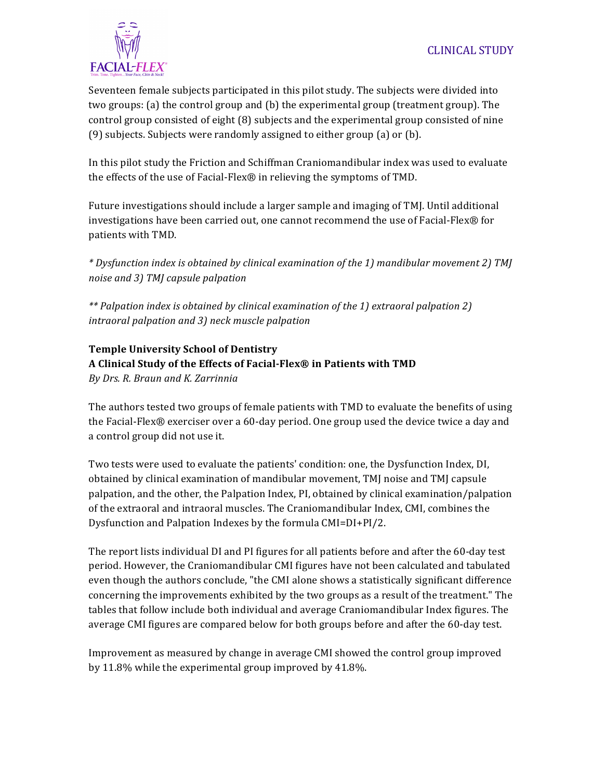

Seventeen female subjects participated in this pilot study. The subjects were divided into two groups: (a) the control group and  $(b)$  the experimental group (treatment group). The control group consisted of eight  $(8)$  subjects and the experimental group consisted of nine (9) subjects. Subjects were randomly assigned to either group (a) or (b).

In this pilot study the Friction and Schiffman Craniomandibular index was used to evaluate the effects of the use of Facial-Flex® in relieving the symptoms of TMD.

Future investigations should include a larger sample and imaging of TMJ. Until additional investigations have been carried out, one cannot recommend the use of Facial-Flex® for patients with TMD.

*\* Dysfunction index is obtained by clinical examination of the 1) mandibular movement 2) TMJ noise and 3) TMJ capsule palpation* 

*\*\* Palpation index is obtained by clinical examination of the 1) extraoral palpation 2) intraoral palpation and 3) neck muscle palpation* 

**Temple University School of Dentistry A Clinical Study of the Effects of Facial-Flex® in Patients with TMD** *By Drs. R. Braun and K. Zarrinnia*

The authors tested two groups of female patients with TMD to evaluate the benefits of using the Facial-Flex® exerciser over a 60-day period. One group used the device twice a day and a control group did not use it.

Two tests were used to evaluate the patients' condition: one, the Dysfunction Index, DI, obtained by clinical examination of mandibular movement, TMJ noise and TMJ capsule palpation, and the other, the Palpation Index, PI, obtained by clinical examination/palpation of the extraoral and intraoral muscles. The Craniomandibular Index, CMI, combines the Dysfunction and Palpation Indexes by the formula CMI=DI+PI/2.

The report lists individual DI and PI figures for all patients before and after the 60-day test period. However, the Craniomandibular CMI figures have not been calculated and tabulated even though the authors conclude, "the CMI alone shows a statistically significant difference concerning the improvements exhibited by the two groups as a result of the treatment." The tables that follow include both individual and average Craniomandibular Index figures. The average CMI figures are compared below for both groups before and after the 60-day test.

Improvement as measured by change in average CMI showed the control group improved by 11.8% while the experimental group improved by 41.8%.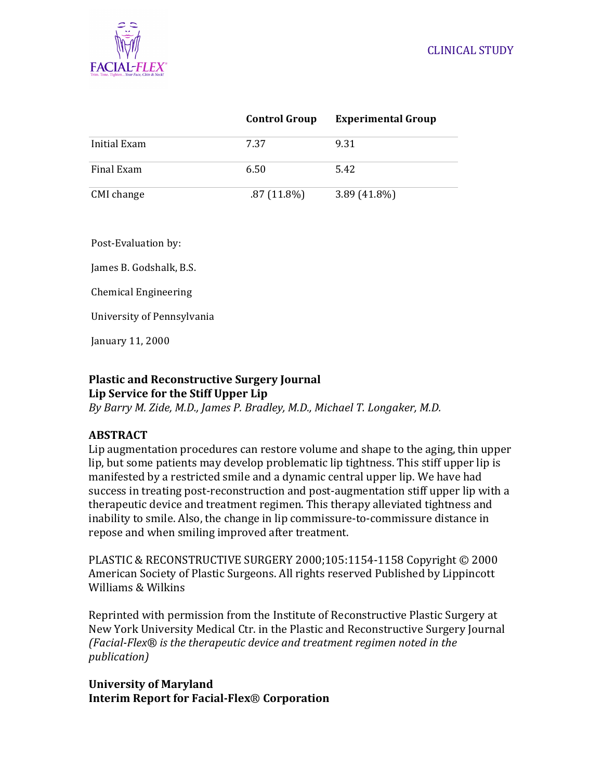

|              | <b>Control Group</b> | <b>Experimental Group</b> |
|--------------|----------------------|---------------------------|
| Initial Exam | 7.37                 | 9.31                      |
| Final Exam   | 6.50                 | 5.42                      |
| CMI change   | $.87(11.8\%)$        | $3.89(41.8\%)$            |

Post-Evaluation by:

James B. Godshalk, B.S.

Chemical Engineering 

University of Pennsylvania

January 11, 2000

#### **Plastic and Reconstructive Surgery Journal** Lip Service for the Stiff Upper Lip

*By Barry M. Zide, M.D., James P. Bradley, M.D., Michael T. Longaker, M.D.*

## **ABSTRACT**

Lip augmentation procedures can restore volume and shape to the aging, thin upper lip, but some patients may develop problematic lip tightness. This stiff upper lip is manifested by a restricted smile and a dynamic central upper lip. We have had success in treating post-reconstruction and post-augmentation stiff upper lip with a therapeutic device and treatment regimen. This therapy alleviated tightness and inability to smile. Also, the change in lip commissure-to-commissure distance in repose and when smiling improved after treatment.

PLASTIC & RECONSTRUCTIVE SURGERY 2000;105:1154-1158 Copyright  $\odot$  2000 American Society of Plastic Surgeons. All rights reserved Published by Lippincott Williams & Wilkins

Reprinted with permission from the Institute of Reconstructive Plastic Surgery at New York University Medical Ctr. in the Plastic and Reconstructive Surgery Journal (Facial-Flex<sup>®</sup> is the therapeutic device and treatment regimen noted in the *publication)*

**University of Maryland Interim Report for Facial-Flex**® **Corporation**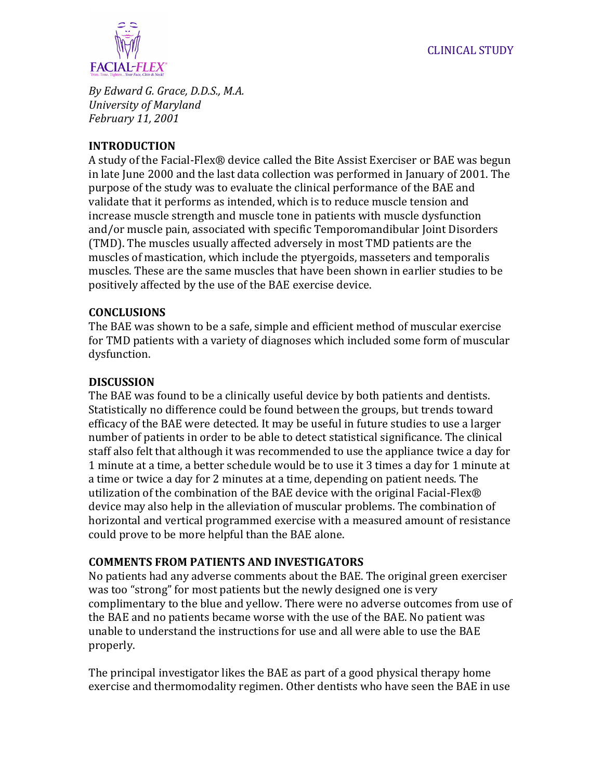

*By Edward G. Grace, D.D.S., M.A. University of Maryland February 11, 2001*

## **INTRODUCTION**

A study of the Facial-Flex® device called the Bite Assist Exerciser or BAE was begun in late June 2000 and the last data collection was performed in January of 2001. The purpose of the study was to evaluate the clinical performance of the BAE and validate that it performs as intended, which is to reduce muscle tension and increase muscle strength and muscle tone in patients with muscle dysfunction and/or muscle pain, associated with specific Temporomandibular Joint Disorders (TMD). The muscles usually affected adversely in most TMD patients are the muscles of mastication, which include the ptyergoids, masseters and temporalis muscles. These are the same muscles that have been shown in earlier studies to be positively affected by the use of the BAE exercise device.

## **CONCLUSIONS**

The BAE was shown to be a safe, simple and efficient method of muscular exercise for TMD patients with a variety of diagnoses which included some form of muscular dysfunction. 

## **DISCUSSION**

The BAE was found to be a clinically useful device by both patients and dentists. Statistically no difference could be found between the groups, but trends toward efficacy of the BAE were detected. It may be useful in future studies to use a larger number of patients in order to be able to detect statistical significance. The clinical staff also felt that although it was recommended to use the appliance twice a day for 1 minute at a time, a better schedule would be to use it 3 times a day for 1 minute at a time or twice a day for 2 minutes at a time, depending on patient needs. The utilization of the combination of the BAE device with the original Facial-Flex® device may also help in the alleviation of muscular problems. The combination of horizontal and vertical programmed exercise with a measured amount of resistance could prove to be more helpful than the BAE alone.

## **COMMENTS FROM PATIENTS AND INVESTIGATORS**

No patients had any adverse comments about the BAE. The original green exerciser was too "strong" for most patients but the newly designed one is very complimentary to the blue and yellow. There were no adverse outcomes from use of the BAE and no patients became worse with the use of the BAE. No patient was unable to understand the instructions for use and all were able to use the BAE properly.

The principal investigator likes the BAE as part of a good physical therapy home exercise and thermomodality regimen. Other dentists who have seen the BAE in use